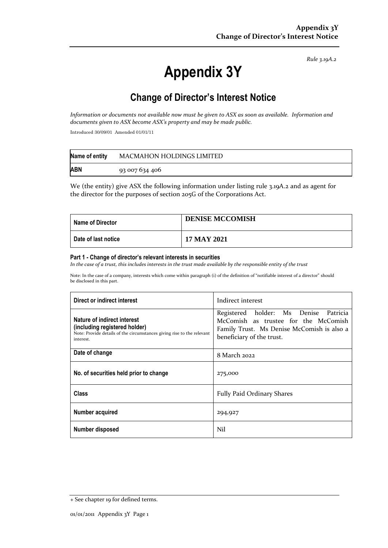*Rule 3.19A.2*

# **Appendix 3Y**

# **Change of Director's Interest Notice**

*Information or documents not available now must be given to ASX as soon as available. Information and documents given to ASX become ASX's property and may be made public.*

Introduced 30/09/01 Amended 01/01/11

| Name of entity | <b>MACMAHON HOLDINGS LIMITED</b> |
|----------------|----------------------------------|
| <b>ABN</b>     | 93 007 634 406                   |

We (the entity) give ASX the following information under listing rule 3.19A.2 and as agent for the director for the purposes of section 205G of the Corporations Act.

| Name of Director    | <b>DENISE MCCOMISH</b> |
|---------------------|------------------------|
| Date of last notice | 17 MAY 2021            |

#### **Part 1 - Change of director's relevant interests in securities**

*In the case of a trust, this includes interests in the trust made available by the responsible entity of the trust*

Note: In the case of a company, interests which come within paragraph (i) of the definition of "notifiable interest of a director" should be disclosed in this part.

| Direct or indirect interest                                                                                                                         | Indirect interest                                                                                                                                        |  |
|-----------------------------------------------------------------------------------------------------------------------------------------------------|----------------------------------------------------------------------------------------------------------------------------------------------------------|--|
| Nature of indirect interest<br>(including registered holder)<br>Note: Provide details of the circumstances giving rise to the relevant<br>interest. | Registered holder: Ms Denise Patricia<br>McComish as trustee for the McComish<br>Family Trust. Ms Denise McComish is also a<br>beneficiary of the trust. |  |
| Date of change                                                                                                                                      | 8 March 2022                                                                                                                                             |  |
| No. of securities held prior to change                                                                                                              | 275,000                                                                                                                                                  |  |
| Class                                                                                                                                               | <b>Fully Paid Ordinary Shares</b>                                                                                                                        |  |
| Number acquired                                                                                                                                     | 294,927                                                                                                                                                  |  |
| Number disposed                                                                                                                                     | Nil                                                                                                                                                      |  |

<sup>+</sup> See chapter 19 for defined terms.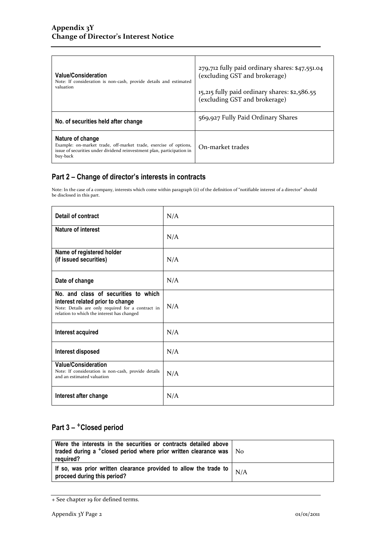| <b>Value/Consideration</b><br>Note: If consideration is non-cash, provide details and estimated<br>valuation                                                               | $279,712$ fully paid ordinary shares: \$47,551.04<br>(excluding GST and brokerage)<br>15,215 fully paid ordinary shares: \$2,586.55<br>(excluding GST and brokerage) |
|----------------------------------------------------------------------------------------------------------------------------------------------------------------------------|----------------------------------------------------------------------------------------------------------------------------------------------------------------------|
| No. of securities held after change                                                                                                                                        | 569,927 Fully Paid Ordinary Shares                                                                                                                                   |
| Nature of change<br>Example: on-market trade, off-market trade, exercise of options,<br>issue of securities under dividend reinvestment plan, participation in<br>buy-back | On-market trades                                                                                                                                                     |

### **Part 2 – Change of director's interests in contracts**

Note: In the case of a company, interests which come within paragraph (ii) of the definition of "notifiable interest of a director" should be disclosed in this part.

| Detail of contract                                                                                                                                                          | N/A |
|-----------------------------------------------------------------------------------------------------------------------------------------------------------------------------|-----|
| Nature of interest                                                                                                                                                          | N/A |
| Name of registered holder<br>(if issued securities)                                                                                                                         | N/A |
| Date of change                                                                                                                                                              | N/A |
| No. and class of securities to which<br>interest related prior to change<br>Note: Details are only required for a contract in<br>relation to which the interest has changed | N/A |
| Interest acquired                                                                                                                                                           | N/A |
| Interest disposed                                                                                                                                                           | N/A |
| <b>Value/Consideration</b><br>Note: If consideration is non-cash, provide details<br>and an estimated valuation                                                             | N/A |
| Interest after change                                                                                                                                                       | N/A |

## **Part 3 –** +**Closed period**

| Were the interests in the securities or contracts detailed above<br>traded during a <sup>+</sup> closed period where prior written clearance was $\vert$ No<br>reguired? |  |
|--------------------------------------------------------------------------------------------------------------------------------------------------------------------------|--|
| If so, was prior written clearance provided to allow the trade to $\mid N/A \rangle$<br>proceed during this period?                                                      |  |

<sup>+</sup> See chapter 19 for defined terms.